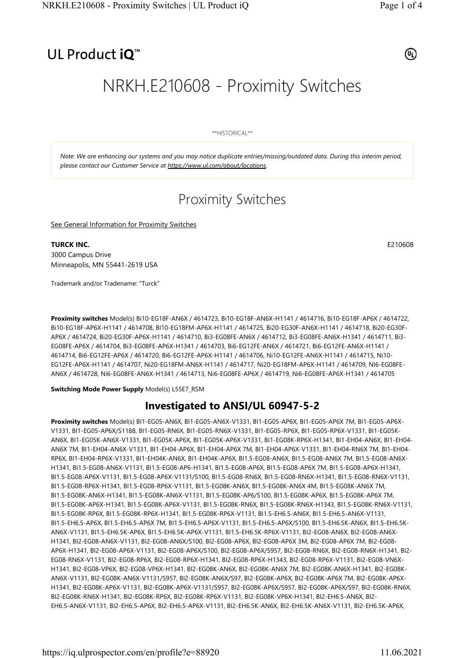## UL Product iQ<sup>™</sup>

 $(\mathsf{u}_\mathsf{L})$ 

# NRKH.E210608 - Proximity Switches

\*\*HISTORICAL\*\*

Note: We are enhancing our systems and you may notice duplicate entries/missing/outdated data. During this interim period, please contact our Customer Service at https://www.ul.com/about/locations.

## Proximity Switches

See General Information for Proximity Switches

## **TURCK INC.** E210608

3000 Campus Drive Minneapolis, MN 55441-2619 USA

Trademark and/or Tradename: "Turck"

Proximity switches Model(s) Bi10-EG18F-AN6X / 4614723, Bi10-EG18F-AN6X-H1141 / 4614716, Bi10-EG18F-AP6X / 4614722, Bi10-EG18F-AP6X-H1141 / 4614708, BI10-EG18FM-AP6X-H1141 / 4614725, Bi20-EG30F-AN6X-H1141 / 4614718, Bi20-EG30F-AP6X / 4614724, Bi20-EG30F-AP6X-H1141 / 4614710, Bi3-EG08FE-AN6X / 4614712, Bi3-EG08FE-AN6X-H1341 / 4614711, Bi3- EG08FE-AP6X / 4614704, Bi3-EG08FE-AP6X-H1341 / 4614703, Bi6-EG12FE-AN6X / 4614721, Bi6-EG12FE-AN6X-H1141 / 4614714, Bi6-EG12FE-AP6X / 4614720, Bi6-EG12FE-AP6X-H1141 / 4614706, Ni10-EG12FE-AN6X-H1141 / 4614715, Ni10- EG12FE-AP6X-H1141 / 4614707, Ni20-EG18FM-AN6X-H1141 / 4614717, Ni20-EG18FM-AP6X-H1141 / 4614709, NI6-EG08FE-AN6X / 4614728, Ni6-EG08FE-AN6X-H1341 / 4614713, Ni6-EG08FE-AP6X / 4614719, Ni6-EG08FE-AP6X-H1341 / 4614705

Switching Mode Power Supply Model(s) L55E7\_RSM

## Investigated to ANSI/UL 60947-5-2

Proximity switches Model(s) BI1-EG05-AN6X, BI1-EG05-AN6X-V1331, BI1-EG05-AP6X, BI1-EG05-AP6X 7M, BI1-EG05-AP6X-V1331, BI1-EG05-AP6X/S1188, BI1-EG05-RN6X, BI1-EG05-RN6X-V1331, BI1-EG05-RP6X, BI1-EG05-RP6X-V1331, BI1-EG05K-AN6X, BI1-EG05K-AN6X-V1331, BI1-EG05K-AP6X, BI1-EG05K-AP6X-V1331, BI1-EG08K-RP6X-H1341, BI1-EH04-AN6X, BI1-EH04- AN6X 7M, BI1-EH04-AN6X-V1331, BI1-EH04-AP6X, BI1-EH04-AP6X 7M, BI1-EH04-AP6X-V1331, BI1-EH04-RN6X 7M, BI1-EH04- RP6X, BI1-EH04-RP6X-V1331, BI1-EH04K-AN6X, BI1-EH04K-AP6X, BI1.5-EG08-AN6X, BI1.5-EG08-AN6X 7M, BI1.5-EG08-AN6X-H1341, BI1.5-EG08-AN6X-V1131, BI1.5-EG08-AP6-H1341, BI1.5-EG08-AP6X, BI1.5-EG08-AP6X 7M, BI1.5-EG08-AP6X-H1341, BI1.5-EG08-AP6X-V1131, BI1.5-EG08-AP6X-V1131/S100, BI1.5-EG08-RN6X, BI1.5-EG08-RN6X-H1341, BI1.5-EG08-RN6X-V1131, BI1.5-EG08-RP6X-H1341, BI1.5-EG08-RP6X-V1131, BI1.5-EG08K-AN6X, BI1.5-EG08K-AN6X 4M, BI1.5-EG08K-AN6X 7M, BI1.5-EG08K-AN6X-H1341, BI1.5-EG08K-AN6X-V1131, BI1.5-EG08K-AP6/S100, BI1.5-EG08K-AP6X, BI1.5-EG08K-AP6X 7M, BI1.5-EG08K-AP6X-H1341, BI1.5-EG08K-AP6X-V1131, BI1.5-EG08K-RN6X, BI1.5-EG08K-RN6X-H1343, BI1.5-EG08K-RN6X-V1131, BI1.5-EG08K-RP6X, BI1.5-EG08K-RP6X-H1341, BI1.5-EG08K-RP6X-V1131, BI1.5-EH6.5-AN6X, BI1.5-EH6.5-AN6X-V1131, BI1.5-EH6.5-AP6X, BI1.5-EH6.5-AP6X 7M, BI1.5-EH6.5-AP6X-V1131, BI1.5-EH6.5-AP6X/S100, BI1.5-EH6.5K-AN6X, BI1.5-EH6.5K-AN6X-V1131, BI1.5-EH6.5K-AP6X, BI1.5-EH6.5K-AP6X-V1131, BI1.5-EH6.5K-RP6X-V1131, BI2-EG08-AN6X, BI2-EG08-AN6X-H1341, BI2-EG08-AN6X-V1131, BI2-EG08-AN6X/S100, BI2-EG08-AP6X, BI2-EG08-AP6X 3M, BI2-EG08-AP6X 7M, BI2-EG08- AP6X-H1341, BI2-EG08-AP6X-V1131, BI2-EG08-AP6X/S100, BI2-EG08-AP6X/S957, BI2-EG08-RN6X, BI2-EG08-RN6X-H1341, BI2- EG08-RN6X-V1131, BI2-EG08-RP6X, BI2-EG08-RP6X-H1341, BI2-EG08-RP6X-H1343, BI2-EG08-RP6X-V1131, BI2-EG08-VN6X-H1341, BI2-EG08-VP6X, BI2-EG08-VP6X-H1341, BI2-EG08K-AN6X, BI2-EG08K-AN6X 7M, BI2-EG08K-AN6X-H1341, BI2-EG08K-AN6X-V1131, BI2-EG08K-AN6X-V1131/S957, BI2-EG08K-AN6X/S97, BI2-EG08K-AP6X, BI2-EG08K-AP6X 7M, BI2-EG08K-AP6X-H1341, BI2-EG08K-AP6X-V1131, BI2-EG08K-AP6X-V1131/S957, BI2-EG08K-AP6X/S957, BI2-EG08K-AP6X/S97, BI2-EG08K-RN6X, BI2-EG08K-RN6X-H1341, BI2-EG08K-RP6X, BI2-EG08K-RP6X-V1131, BI2-EG08K-VP6X-H1341, BI2-EH6.5-AN6X, BI2- EH6.5-AN6X-V1131, BI2-EH6.5-AP6X, BI2-EH6.5-AP6X-V1131, BI2-EH6.5K-AN6X, BI2-EH6.5K-AN6X-V1131, BI2-EH6.5K-AP6X,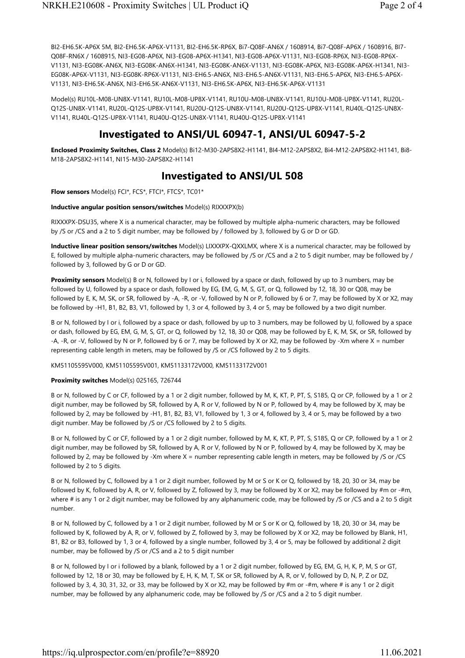BI2-EH6.5K-AP6X 5M, BI2-EH6.5K-AP6X-V1131, BI2-EH6.5K-RP6X, Bi7-Q08F-AN6X / 1608914, Bi7-Q08F-AP6X / 1608916, BI7- Q08F-RN6X / 1608915, NI3-EG08-AP6X, NI3-EG08-AP6X-H1341, NI3-EG08-AP6X-V1131, NI3-EG08-RP6X, NI3-EG08-RP6X-V1131, NI3-EG08K-AN6X, NI3-EG08K-AN6X-H1341, NI3-EG08K-AN6X-V1131, NI3-EG08K-AP6X, NI3-EG08K-AP6X-H1341, NI3- EG08K-AP6X-V1131, NI3-EG08K-RP6X-V1131, NI3-EH6.5-AN6X, NI3-EH6.5-AN6X-V1131, NI3-EH6.5-AP6X, NI3-EH6.5-AP6X-V1131, NI3-EH6.5K-AN6X, NI3-EH6.5K-AN6X-V1131, NI3-EH6.5K-AP6X, NI3-EH6.5K-AP6X-V1131

Model(s) RU10L-M08-UN8X-V1141, RU10L-M08-UP8X-V1141, RU10U-M08-UN8X-V1141, RU10U-M08-UP8X-V1141, RU20L-Q12S-UN8X-V1141, RU20L-Q12S-UP8X-V1141, RU20U-Q12S-UN8X-V1141, RU20U-Q12S-UP8X-V1141, RU40L-Q12S-UN8X-V1141, RU40L-Q12S-UP8X-V1141, RU40U-Q12S-UN8X-V1141, RU40U-Q12S-UP8X-V1141

## Investigated to ANSI/UL 60947-1, ANSI/UL 60947-5-2

Enclosed Proximity Switches, Class 2 Model(s) Bi12-M30-2APS8X2-H1141, BI4-M12-2APS8X2, Bi4-M12-2APS8X2-H1141, Bi8- M18-2APS8X2-H1141, NI15-M30-2APS8X2-H1141

## Investigated to ANSI/UL 508

Flow sensors Model(s) FCI\*, FCS\*, FTCI\*, FTCS\*, TC01\*

### Inductive angular position sensors/switches Model(s) RIXXXPX(b)

RIXXXPX-DSU35, where X is a numerical character, may be followed by multiple alpha-numeric characters, may be followed by /S or /CS and a 2 to 5 digit number, may be followed by / followed by 3, followed by G or D or GD.

Inductive linear position sensors/switches Model(s) LIXXXPX-QXXLMX, where X is a numerical character, may be followed by E, followed by multiple alpha-numeric characters, may be followed by /S or /CS and a 2 to 5 digit number, may be followed by / followed by 3, followed by G or D or GD.

Proximity sensors Model(s) B or N, followed by I or i, followed by a space or dash, followed by up to 3 numbers, may be followed by U, followed by a space or dash, followed by EG, EM, G, M, S, GT, or Q, followed by 12, 18, 30 or Q08, may be followed by E, K, M, SK, or SR, followed by -A, -R, or -V, followed by N or P, followed by 6 or 7, may be followed by X or X2, may be followed by -H1, B1, B2, B3, V1, followed by 1, 3 or 4, followed by 3, 4 or 5, may be followed by a two digit number.

B or N, followed by I or i, followed by a space or dash, followed by up to 3 numbers, may be followed by U, followed by a space or dash, followed by EG, EM, G, M, S, GT, or Q, followed by 12, 18, 30 or Q08, may be followed by E, K, M, SK, or SR, followed by -A, -R, or -V, followed by N or P, followed by 6 or 7, may be followed by X or X2, may be followed by -Xm where X = number representing cable length in meters, may be followed by /S or /CS followed by 2 to 5 digits.

KM51105595V000, KM51105595V001, KM51133172V000, KM51133172V001

#### Proximity switches Model(s) 025165, 726744

B or N, followed by C or CF, followed by a 1 or 2 digit number, followed by M, K, KT, P, PT, S, S185, Q or CP, followed by a 1 or 2 digit number, may be followed by SR, followed by A, R or V, followed by N or P, followed by 4, may be followed by X, may be followed by 2, may be followed by -H1, B1, B2, B3, V1, followed by 1, 3 or 4, followed by 3, 4 or 5, may be followed by a two digit number. May be followed by /S or /CS followed by 2 to 5 digits.

B or N, followed by C or CF, followed by a 1 or 2 digit number, followed by M, K, KT, P, PT, S, S185, Q or CP, followed by a 1 or 2 digit number, may be followed by SR, followed by A, R or V, followed by N or P, followed by 4, may be followed by X, may be followed by 2, may be followed by -Xm where X = number representing cable length in meters, may be followed by /S or /CS followed by 2 to 5 digits.

B or N, followed by C, followed by a 1 or 2 digit number, followed by M or S or K or Q, followed by 18, 20, 30 or 34, may be followed by K, followed by A, R, or V, followed by Z, followed by 3, may be followed by X or X2, may be followed by #m or -#m, where # is any 1 or 2 digit number, may be followed by any alphanumeric code, may be followed by /S or /CS and a 2 to 5 digit number.

B or N, followed by C, followed by a 1 or 2 digit number, followed by M or S or K or Q, followed by 18, 20, 30 or 34, may be followed by K, followed by A, R, or V, followed by Z, followed by 3, may be followed by X or X2, may be followed by Blank, H1, B1, B2 or B3, followed by 1, 3 or 4, followed by a single number, followed by 3, 4 or 5, may be followed by additional 2 digit number, may be followed by /S or /CS and a 2 to 5 digit number

B or N, followed by I or i followed by a blank, followed by a 1 or 2 digit number, followed by EG, EM, G, H, K, P, M, S or GT, followed by 12, 18 or 30, may be followed by E, H, K, M, T, SK or SR, followed by A, R, or V, followed by D, N, P, Z or DZ, followed by 3, 4, 30, 31, 32, or 33, may be followed by X or X2, may be followed by #m or -#m, where # is any 1 or 2 digit number, may be followed by any alphanumeric code, may be followed by /S or /CS and a 2 to 5 digit number.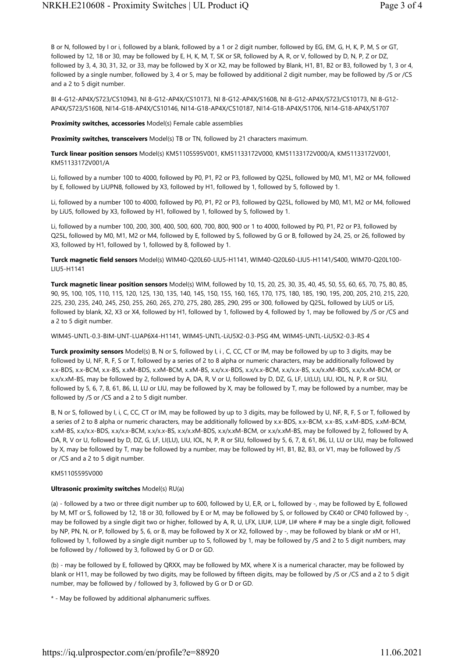B or N, followed by I or i, followed by a blank, followed by a 1 or 2 digit number, followed by EG, EM, G, H, K, P, M, S or GT, followed by 12, 18 or 30, may be followed by E, H, K, M, T, SK or SR, followed by A, R, or V, followed by D, N, P, Z or DZ, followed by 3, 4, 30, 31, 32, or 33, may be followed by X or X2, may be followed by Blank, H1, B1, B2 or B3, followed by 1, 3 or 4, followed by a single number, followed by 3, 4 or 5, may be followed by additional 2 digit number, may be followed by /S or /CS and a 2 to 5 digit number.

BI 4-G12-AP4X/S723/CS10943, NI 8-G12-AP4X/CS10173, NI 8-G12-AP4X/S1608, NI 8-G12-AP4X/S723/CS10173, NI 8-G12- AP4X/S723/S1608, NI14-G18-AP4X/CS10146, NI14-G18-AP4X/CS10187, NI14-G18-AP4X/S1706, NI14-G18-AP4X/S1707

Proximity switches, accessories Model(s) Female cable assemblies

Proximity switches, transceivers Model(s) TB or TN, followed by 21 characters maximum.

Turck linear position sensors Model(s) KM51105595V001, KM51133172V000, KM51133172V000/A, KM51133172V001, KM51133172V001/A

Li, followed by a number 100 to 4000, followed by P0, P1, P2 or P3, followed by Q25L, followed by M0, M1, M2 or M4, followed by E, followed by LiUPN8, followed by X3, followed by H1, followed by 1, followed by 5, followed by 1.

Li, followed by a number 100 to 4000, followed by P0, P1, P2 or P3, followed by Q25L, followed by M0, M1, M2 or M4, followed by LiU5, followed by X3, followed by H1, followed by 1, followed by 5, followed by 1.

Li, followed by a number 100, 200, 300, 400, 500, 600, 700, 800, 900 or 1 to 4000, followed by P0, P1, P2 or P3, followed by Q25L, followed by M0, M1, M2 or M4, followed by E, followed by S, followed by G or B, followed by 24, 25, or 26, followed by X3, followed by H1, followed by 1, followed by 8, followed by 1.

Turck magnetic field sensors Model(s) WIM40-Q20L60-LIU5-H1141, WIM40-Q20L60-LIU5-H1141/S400, WIM70-Q20L100- LIU5-H1141

Turck magnetic linear position sensors Model(s) WIM, followed by 10, 15, 20, 25, 30, 35, 40, 45, 50, 55, 60, 65, 70, 75, 80, 85, 90, 95, 100, 105, 110, 115, 120, 125, 130, 135, 140, 145, 150, 155, 160, 165, 170, 175, 180, 185, 190, 195, 200, 205, 210, 215, 220, 225, 230, 235, 240, 245, 250, 255, 260, 265, 270, 275, 280, 285, 290, 295 or 300, followed by Q25L, followed by LiU5 or Li5, followed by blank, X2, X3 or X4, followed by H1, followed by 1, followed by 4, followed by 1, may be followed by /S or /CS and a 2 to 5 digit number.

WIM45-UNTL-0.3-BIM-UNT-LUAP6X4-H1141, WIM45-UNTL-LiU5X2-0.3-PSG 4M, WIM45-UNTL-LiU5X2-0.3-RS 4

Turck proximity sensors Model(s) B, N or S, followed by I, i , C, CC, CT or IM, may be followed by up to 3 digits, may be followed by U, NF, R, F, S or T, followed by a series of 2 to 8 alpha or numeric characters, may be additionally followed by x.x-BDS, x.x-BCM, x.x-BS, x.xM-BDS, x.xM-BCM, x.xM-BS, x.x/x.x-BDS, x.x/x.x-BCM, x.x/x.x-BS, x.x/x.xM-BDS, x.x/x.xM-BCM, or x.x/x.xM-BS, may be followed by 2, followed by A, DA, R, V or U, followed by D, DZ, G, LF, LI(LU), LIU, IOL, N, P, R or SIU, followed by 5, 6, 7, 8, 61, 86, LI, LU or LIU, may be followed by X, may be followed by T, may be followed by a number, may be followed by /S or /CS and a 2 to 5 digit number.

B, N or S, followed by I, i, C, CC, CT or IM, may be followed by up to 3 digits, may be followed by U, NF, R, F, S or T, followed by a series of 2 to 8 alpha or numeric characters, may be additionally followed by x.x-BDS, x.x-BCM, x.x-BS, x.xM-BDS, x.xM-BCM, x.xM-BS, x.x/x.x-BDS, x.x/x.x-BCM, x.x/x.x-BS, x.x/x.xM-BDS, x.x/x.xM-BCM, or x.x/x.xM-BS, may be followed by 2, followed by A, DA, R, V or U, followed by D, DZ, G, LF, LI(LU), LIU, IOL, N, P, R or SIU, followed by 5, 6, 7, 8, 61, 86, LI, LU or LIU, may be followed by X, may be followed by T, may be followed by a number, may be followed by H1, B1, B2, B3, or V1, may be followed by /S or /CS and a 2 to 5 digit number.

#### KM51105595V000

#### Ultrasonic proximity switches Model(s) RU(a)

(a) - followed by a two or three digit number up to 600, followed by U, E,R, or L, followed by -, may be followed by E, followed by M, MT or S, followed by 12, 18 or 30, followed by E or M, may be followed by S, or followed by CK40 or CP40 followed by -, may be followed by a single digit two or higher, followed by A, R, U, LFX, LIU#, LU#, LI# where # may be a single digit, followed by NP, PN, N, or P, followed by 5, 6, or 8, may be followed by X or X2, followed by -, may be followed by blank or xM or H1, followed by 1, followed by a single digit number up to 5, followed by 1, may be followed by /S and 2 to 5 digit numbers, may be followed by / followed by 3, followed by G or D or GD.

(b) - may be followed by E, followed by QRXX, may be followed by MX, where X is a numerical character, may be followed by blank or H11, may be followed by two digits, may be followed by fifteen digits, may be followed by /S or /CS and a 2 to 5 digit number, may be followed by / followed by 3, followed by G or D or GD.

\* - May be followed by additional alphanumeric suffixes.